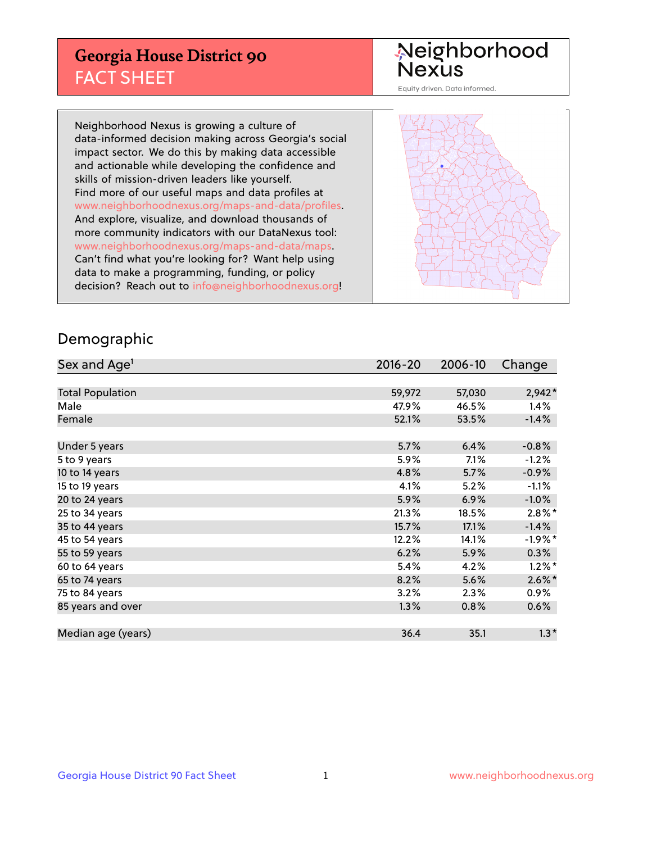## **Georgia House District 90** FACT SHEET

# Neighborhood<br>Nexus

Equity driven. Data informed.

Neighborhood Nexus is growing a culture of data-informed decision making across Georgia's social impact sector. We do this by making data accessible and actionable while developing the confidence and skills of mission-driven leaders like yourself. Find more of our useful maps and data profiles at www.neighborhoodnexus.org/maps-and-data/profiles. And explore, visualize, and download thousands of more community indicators with our DataNexus tool: www.neighborhoodnexus.org/maps-and-data/maps. Can't find what you're looking for? Want help using data to make a programming, funding, or policy decision? Reach out to [info@neighborhoodnexus.org!](mailto:info@neighborhoodnexus.org)



### Demographic

| Sex and Age <sup>1</sup> | $2016 - 20$ | 2006-10 | Change               |
|--------------------------|-------------|---------|----------------------|
|                          |             |         |                      |
| <b>Total Population</b>  | 59,972      | 57,030  | $2,942*$             |
| Male                     | 47.9%       | 46.5%   | 1.4%                 |
| Female                   | 52.1%       | 53.5%   | $-1.4%$              |
|                          |             |         |                      |
| Under 5 years            | 5.7%        | 6.4%    | $-0.8%$              |
| 5 to 9 years             | 5.9%        | 7.1%    | $-1.2%$              |
| 10 to 14 years           | 4.8%        | 5.7%    | $-0.9%$              |
| 15 to 19 years           | 4.1%        | 5.2%    | $-1.1%$              |
| 20 to 24 years           | 5.9%        | 6.9%    | $-1.0%$              |
| 25 to 34 years           | 21.3%       | 18.5%   | $2.8\%$ <sup>*</sup> |
| 35 to 44 years           | 15.7%       | 17.1%   | $-1.4%$              |
| 45 to 54 years           | 12.2%       | 14.1%   | $-1.9%$ *            |
| 55 to 59 years           | 6.2%        | 5.9%    | $0.3\%$              |
| 60 to 64 years           | 5.4%        | 4.2%    | $1.2\%$ *            |
| 65 to 74 years           | 8.2%        | 5.6%    | $2.6\%$ *            |
| 75 to 84 years           | 3.2%        | 2.3%    | $0.9\%$              |
| 85 years and over        | 1.3%        | 0.8%    | 0.6%                 |
|                          |             |         |                      |
| Median age (years)       | 36.4        | 35.1    | $1.3*$               |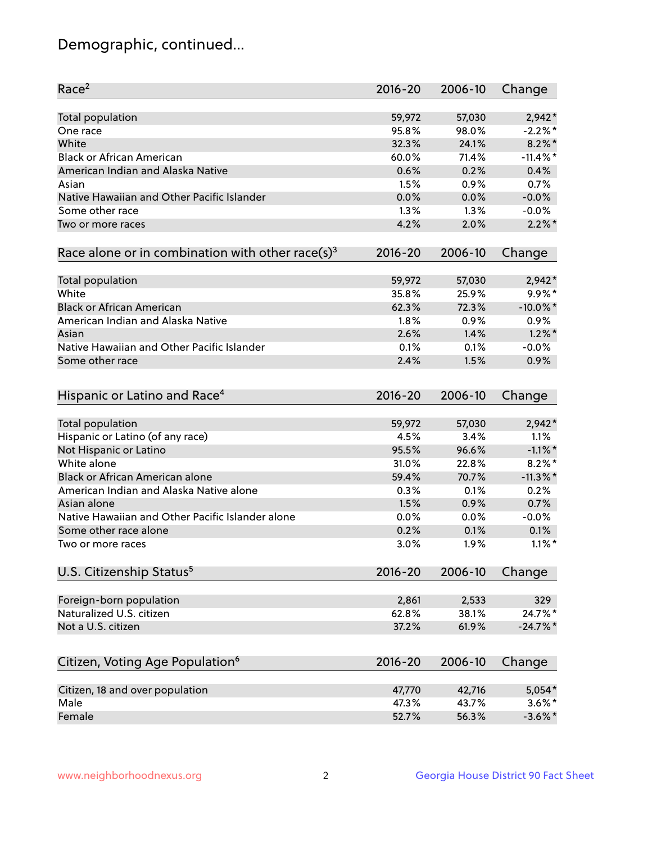## Demographic, continued...

| Race <sup>2</sup>                                            | $2016 - 20$ | 2006-10 | Change      |
|--------------------------------------------------------------|-------------|---------|-------------|
| Total population                                             | 59,972      | 57,030  | $2,942*$    |
| One race                                                     | 95.8%       | 98.0%   | $-2.2%$ *   |
| White                                                        | 32.3%       | 24.1%   | $8.2\%$ *   |
| <b>Black or African American</b>                             | 60.0%       | 71.4%   | $-11.4\%$ * |
| American Indian and Alaska Native                            | 0.6%        | 0.2%    | 0.4%        |
| Asian                                                        | 1.5%        | 0.9%    | 0.7%        |
| Native Hawaiian and Other Pacific Islander                   | 0.0%        | 0.0%    | $-0.0%$     |
| Some other race                                              | 1.3%        | 1.3%    | $-0.0%$     |
| Two or more races                                            | 4.2%        | 2.0%    | $2.2\%$ *   |
| Race alone or in combination with other race(s) <sup>3</sup> | $2016 - 20$ | 2006-10 | Change      |
|                                                              |             |         |             |
| Total population                                             | 59,972      | 57,030  | $2,942*$    |
| White                                                        | 35.8%       | 25.9%   | $9.9\%$ *   |
| <b>Black or African American</b>                             | 62.3%       | 72.3%   | $-10.0\%$ * |
| American Indian and Alaska Native                            | 1.8%        | 0.9%    | 0.9%        |
| Asian                                                        | 2.6%        | 1.4%    | $1.2\%$ *   |
| Native Hawaiian and Other Pacific Islander                   | 0.1%        | 0.1%    | $-0.0%$     |
| Some other race                                              | 2.4%        | 1.5%    | 0.9%        |
|                                                              |             |         |             |
| Hispanic or Latino and Race <sup>4</sup>                     | $2016 - 20$ | 2006-10 | Change      |
| Total population                                             | 59,972      | 57,030  | $2,942*$    |
| Hispanic or Latino (of any race)                             | 4.5%        | 3.4%    | 1.1%        |
| Not Hispanic or Latino                                       | 95.5%       | 96.6%   | $-1.1\%$ *  |
| White alone                                                  | 31.0%       | 22.8%   | $8.2\%$ *   |
| Black or African American alone                              | 59.4%       | 70.7%   | $-11.3\%$ * |
| American Indian and Alaska Native alone                      | 0.3%        | 0.1%    | 0.2%        |
| Asian alone                                                  | 1.5%        | 0.9%    | 0.7%        |
| Native Hawaiian and Other Pacific Islander alone             | 0.0%        | 0.0%    | $-0.0%$     |
| Some other race alone                                        | 0.2%        | 0.1%    | 0.1%        |
| Two or more races                                            | 3.0%        | 1.9%    | $1.1\%$ *   |
|                                                              |             |         |             |
| U.S. Citizenship Status <sup>5</sup>                         | 2016-20     | 2006-10 | Change      |
| Foreign-born population                                      | 2,861       | 2,533   | 329         |
| Naturalized U.S. citizen                                     | 62.8%       | 38.1%   | 24.7%*      |
| Not a U.S. citizen                                           | 37.2%       | 61.9%   | $-24.7%$    |
|                                                              |             |         |             |
| Citizen, Voting Age Population <sup>6</sup>                  | 2016-20     | 2006-10 | Change      |
| Citizen, 18 and over population                              | 47,770      | 42,716  | 5,054*      |
| Male                                                         | 47.3%       | 43.7%   | $3.6\%$ *   |
| Female                                                       | 52.7%       | 56.3%   | $-3.6\%$ *  |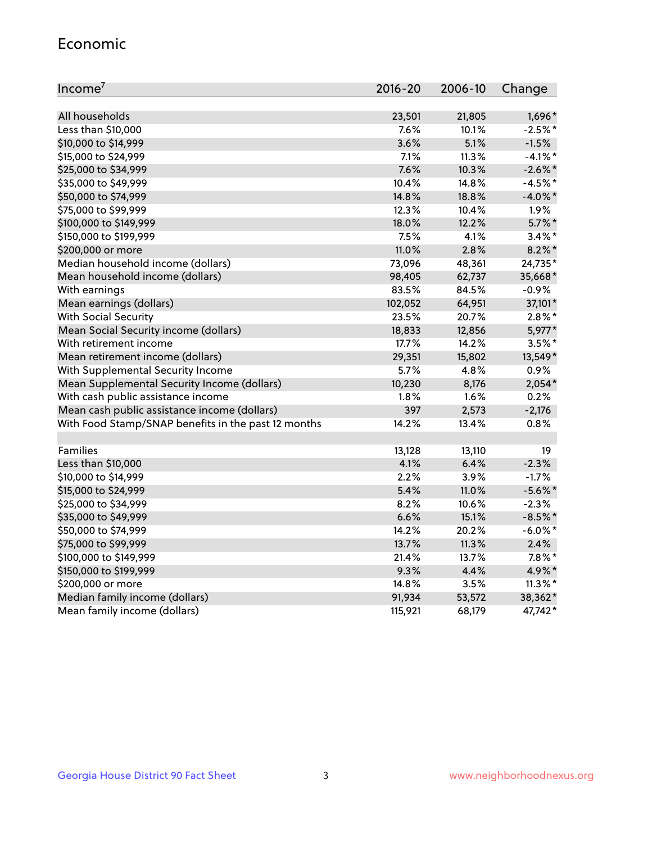#### Economic

| Income <sup>7</sup>                                 | 2016-20 | 2006-10 | Change     |
|-----------------------------------------------------|---------|---------|------------|
|                                                     |         |         |            |
| All households                                      | 23,501  | 21,805  | 1,696*     |
| Less than \$10,000                                  | 7.6%    | 10.1%   | $-2.5%$ *  |
| \$10,000 to \$14,999                                | 3.6%    | 5.1%    | $-1.5%$    |
| \$15,000 to \$24,999                                | 7.1%    | 11.3%   | $-4.1\%$ * |
| \$25,000 to \$34,999                                | 7.6%    | 10.3%   | $-2.6\%$ * |
| \$35,000 to \$49,999                                | 10.4%   | 14.8%   | $-4.5%$ *  |
| \$50,000 to \$74,999                                | 14.8%   | 18.8%   | $-4.0\%$ * |
| \$75,000 to \$99,999                                | 12.3%   | 10.4%   | 1.9%       |
| \$100,000 to \$149,999                              | 18.0%   | 12.2%   | $5.7\%$ *  |
| \$150,000 to \$199,999                              | 7.5%    | 4.1%    | $3.4\%$ *  |
| \$200,000 or more                                   | 11.0%   | 2.8%    | $8.2\%$ *  |
| Median household income (dollars)                   | 73,096  | 48,361  | 24,735*    |
| Mean household income (dollars)                     | 98,405  | 62,737  | 35,668*    |
| With earnings                                       | 83.5%   | 84.5%   | $-0.9%$    |
| Mean earnings (dollars)                             | 102,052 | 64,951  | 37,101*    |
| <b>With Social Security</b>                         | 23.5%   | 20.7%   | $2.8\%$ *  |
| Mean Social Security income (dollars)               | 18,833  | 12,856  | 5,977*     |
| With retirement income                              | 17.7%   | 14.2%   | $3.5\%$ *  |
| Mean retirement income (dollars)                    | 29,351  | 15,802  | 13,549*    |
| With Supplemental Security Income                   | 5.7%    | 4.8%    | 0.9%       |
| Mean Supplemental Security Income (dollars)         | 10,230  | 8,176   | $2,054*$   |
| With cash public assistance income                  | 1.8%    | 1.6%    | 0.2%       |
| Mean cash public assistance income (dollars)        | 397     | 2,573   | $-2,176$   |
| With Food Stamp/SNAP benefits in the past 12 months | 14.2%   | 13.4%   | 0.8%       |
|                                                     |         |         |            |
| Families                                            | 13,128  | 13,110  | 19         |
| Less than \$10,000                                  | 4.1%    | 6.4%    | $-2.3%$    |
| \$10,000 to \$14,999                                | 2.2%    | 3.9%    | $-1.7%$    |
| \$15,000 to \$24,999                                | 5.4%    | 11.0%   | $-5.6%$ *  |
| \$25,000 to \$34,999                                | 8.2%    | 10.6%   | $-2.3%$    |
| \$35,000 to \$49,999                                | 6.6%    | 15.1%   | $-8.5%$ *  |
| \$50,000 to \$74,999                                | 14.2%   | 20.2%   | $-6.0\%$ * |
| \$75,000 to \$99,999                                | 13.7%   | 11.3%   | 2.4%       |
| \$100,000 to \$149,999                              | 21.4%   | 13.7%   | $7.8\%$ *  |
| \$150,000 to \$199,999                              | 9.3%    | 4.4%    | 4.9%*      |
| \$200,000 or more                                   | 14.8%   | 3.5%    | $11.3\%$ * |
| Median family income (dollars)                      | 91,934  | 53,572  | 38,362*    |
| Mean family income (dollars)                        | 115,921 | 68,179  | 47,742*    |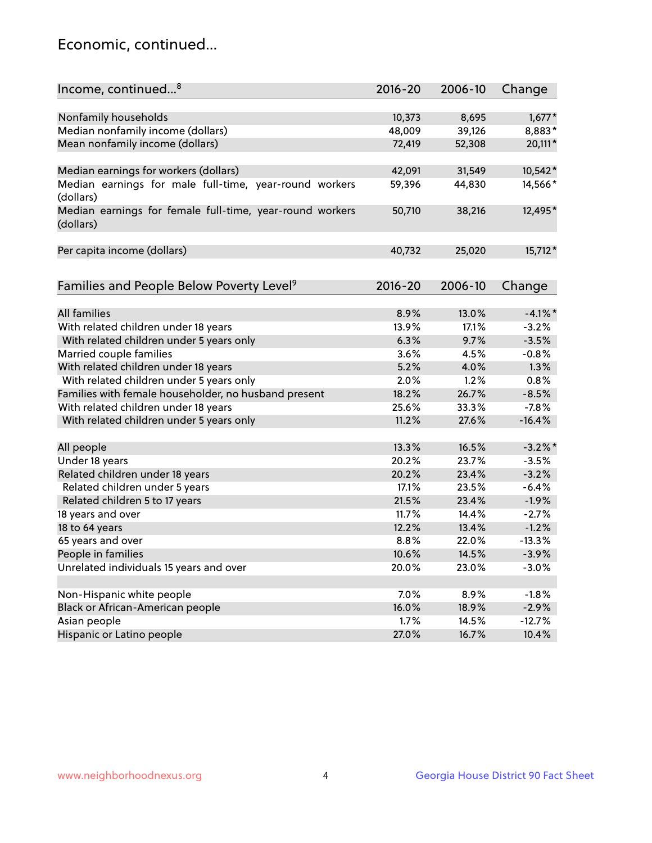## Economic, continued...

| Income, continued <sup>8</sup>                                        | $2016 - 20$ | 2006-10 | Change     |
|-----------------------------------------------------------------------|-------------|---------|------------|
|                                                                       |             |         |            |
| Nonfamily households                                                  | 10,373      | 8,695   | $1,677*$   |
| Median nonfamily income (dollars)                                     | 48,009      | 39,126  | 8,883*     |
| Mean nonfamily income (dollars)                                       | 72,419      | 52,308  | 20,111*    |
| Median earnings for workers (dollars)                                 | 42,091      | 31,549  | 10,542*    |
| Median earnings for male full-time, year-round workers                | 59,396      | 44,830  | 14,566*    |
| (dollars)                                                             |             |         |            |
| Median earnings for female full-time, year-round workers<br>(dollars) | 50,710      | 38,216  | 12,495*    |
| Per capita income (dollars)                                           | 40,732      | 25,020  | 15,712*    |
|                                                                       |             |         |            |
| Families and People Below Poverty Level <sup>9</sup>                  | 2016-20     | 2006-10 | Change     |
|                                                                       |             |         |            |
| <b>All families</b>                                                   | 8.9%        | 13.0%   | $-4.1\%$ * |
| With related children under 18 years                                  | 13.9%       | 17.1%   | $-3.2%$    |
| With related children under 5 years only                              | 6.3%        | 9.7%    | $-3.5%$    |
| Married couple families                                               | 3.6%        | 4.5%    | $-0.8%$    |
| With related children under 18 years                                  | 5.2%        | 4.0%    | 1.3%       |
| With related children under 5 years only                              | 2.0%        | 1.2%    | 0.8%       |
| Families with female householder, no husband present                  | 18.2%       | 26.7%   | $-8.5%$    |
| With related children under 18 years                                  | 25.6%       | 33.3%   | $-7.8%$    |
| With related children under 5 years only                              | 11.2%       | 27.6%   | $-16.4%$   |
| All people                                                            | 13.3%       | 16.5%   | $-3.2\%$ * |
| Under 18 years                                                        | 20.2%       | 23.7%   | $-3.5%$    |
| Related children under 18 years                                       | 20.2%       | 23.4%   | $-3.2%$    |
| Related children under 5 years                                        | 17.1%       | 23.5%   | $-6.4%$    |
|                                                                       |             | 23.4%   | $-1.9%$    |
| Related children 5 to 17 years                                        | 21.5%       |         |            |
| 18 years and over                                                     | 11.7%       | 14.4%   | $-2.7%$    |
| 18 to 64 years                                                        | 12.2%       | 13.4%   | $-1.2%$    |
| 65 years and over                                                     | 8.8%        | 22.0%   | $-13.3%$   |
| People in families                                                    | 10.6%       | 14.5%   | $-3.9%$    |
| Unrelated individuals 15 years and over                               | 20.0%       | 23.0%   | $-3.0%$    |
|                                                                       |             |         |            |
| Non-Hispanic white people                                             | 7.0%        | 8.9%    | $-1.8%$    |
| Black or African-American people                                      | 16.0%       | 18.9%   | $-2.9%$    |
| Asian people                                                          | 1.7%        | 14.5%   | $-12.7%$   |
| Hispanic or Latino people                                             | 27.0%       | 16.7%   | 10.4%      |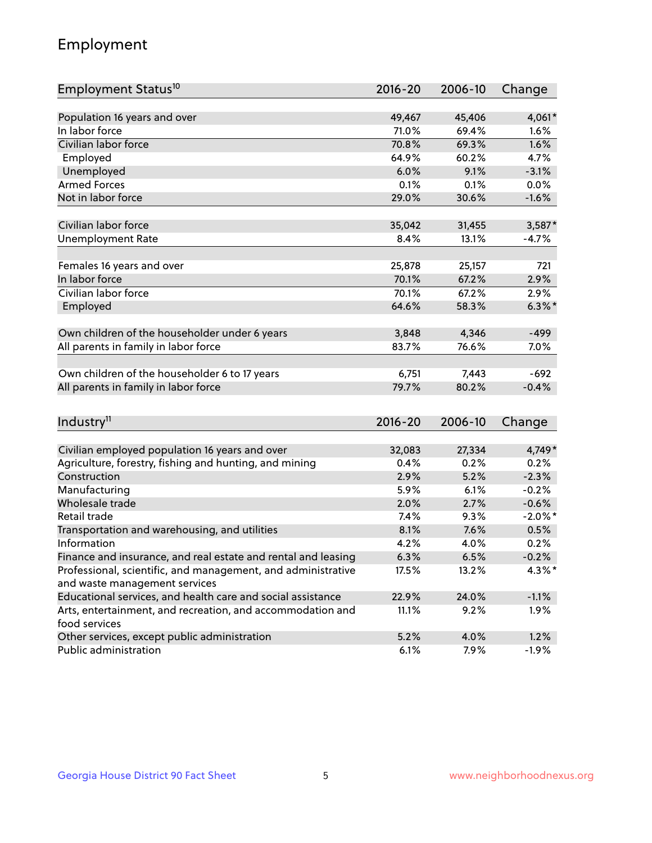## Employment

| Employment Status <sup>10</sup>                                             | $2016 - 20$ | 2006-10 | Change     |
|-----------------------------------------------------------------------------|-------------|---------|------------|
|                                                                             | 49,467      | 45,406  |            |
| Population 16 years and over<br>In labor force                              |             |         | 4,061*     |
| Civilian labor force                                                        | 71.0%       | 69.4%   | 1.6%       |
|                                                                             | 70.8%       | 69.3%   | 1.6%       |
| Employed                                                                    | 64.9%       | 60.2%   | 4.7%       |
| Unemployed                                                                  | 6.0%        | 9.1%    | $-3.1%$    |
| <b>Armed Forces</b>                                                         | 0.1%        | 0.1%    | 0.0%       |
| Not in labor force                                                          | 29.0%       | 30.6%   | $-1.6%$    |
| Civilian labor force                                                        | 35,042      | 31,455  | $3,587*$   |
| <b>Unemployment Rate</b>                                                    | 8.4%        | 13.1%   | $-4.7%$    |
|                                                                             |             |         |            |
| Females 16 years and over                                                   | 25,878      | 25,157  | 721        |
| In labor force                                                              | 70.1%       | 67.2%   | 2.9%       |
| Civilian labor force                                                        | 70.1%       | 67.2%   | 2.9%       |
| Employed                                                                    | 64.6%       | 58.3%   | $6.3\%$ *  |
|                                                                             |             |         |            |
| Own children of the householder under 6 years                               | 3,848       | 4,346   | $-499$     |
| All parents in family in labor force                                        | 83.7%       | 76.6%   | 7.0%       |
|                                                                             |             |         |            |
| Own children of the householder 6 to 17 years                               | 6,751       | 7,443   | $-692$     |
| All parents in family in labor force                                        | 79.7%       | 80.2%   | $-0.4%$    |
|                                                                             |             |         |            |
| Industry <sup>11</sup>                                                      | $2016 - 20$ | 2006-10 | Change     |
|                                                                             |             |         |            |
| Civilian employed population 16 years and over                              | 32,083      | 27,334  | 4,749*     |
| Agriculture, forestry, fishing and hunting, and mining                      | 0.4%        | 0.2%    | 0.2%       |
| Construction                                                                | 2.9%        | 5.2%    | $-2.3%$    |
| Manufacturing                                                               | 5.9%        | 6.1%    | $-0.2%$    |
| Wholesale trade                                                             | 2.0%        | 2.7%    | $-0.6%$    |
| Retail trade                                                                | 7.4%        | 9.3%    | $-2.0\%$ * |
| Transportation and warehousing, and utilities                               | 8.1%        | 7.6%    | 0.5%       |
| Information                                                                 | 4.2%        | 4.0%    | 0.2%       |
| Finance and insurance, and real estate and rental and leasing               | 6.3%        | 6.5%    | $-0.2%$    |
| Professional, scientific, and management, and administrative                | 17.5%       | 13.2%   | $4.3\%$ *  |
| and waste management services                                               |             |         |            |
| Educational services, and health care and social assistance                 | 22.9%       | 24.0%   | $-1.1%$    |
| Arts, entertainment, and recreation, and accommodation and<br>food services | 11.1%       | 9.2%    | $1.9\%$    |
| Other services, except public administration                                | 5.2%        | 4.0%    | 1.2%       |
| Public administration                                                       | 6.1%        | 7.9%    | $-1.9%$    |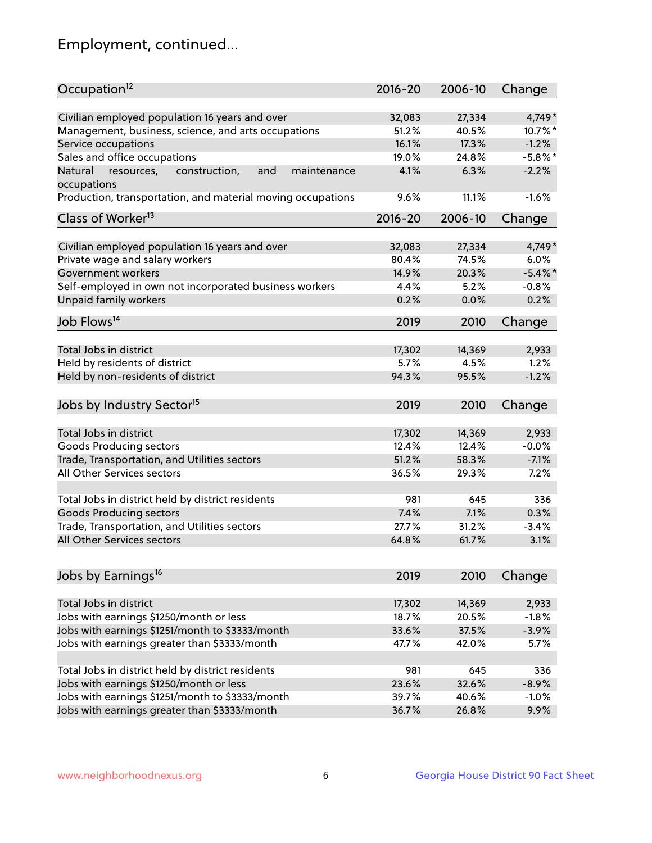## Employment, continued...

| Occupation <sup>12</sup>                                     | $2016 - 20$ | 2006-10 | Change     |
|--------------------------------------------------------------|-------------|---------|------------|
| Civilian employed population 16 years and over               | 32,083      | 27,334  | 4,749*     |
| Management, business, science, and arts occupations          | 51.2%       | 40.5%   | 10.7%*     |
| Service occupations                                          | 16.1%       | 17.3%   | $-1.2%$    |
| Sales and office occupations                                 | 19.0%       | 24.8%   | $-5.8\%$ * |
| Natural<br>and<br>resources,<br>construction,<br>maintenance | 4.1%        | 6.3%    | $-2.2%$    |
| occupations                                                  |             |         |            |
| Production, transportation, and material moving occupations  | 9.6%        | 11.1%   | $-1.6%$    |
| Class of Worker <sup>13</sup>                                | $2016 - 20$ | 2006-10 | Change     |
|                                                              |             |         |            |
| Civilian employed population 16 years and over               | 32,083      | 27,334  | 4,749*     |
| Private wage and salary workers                              | 80.4%       | 74.5%   | 6.0%       |
| Government workers                                           | 14.9%       | 20.3%   | $-5.4\%$ * |
| Self-employed in own not incorporated business workers       | 4.4%        | 5.2%    | $-0.8%$    |
| <b>Unpaid family workers</b>                                 | 0.2%        | 0.0%    | 0.2%       |
| Job Flows <sup>14</sup>                                      | 2019        | 2010    | Change     |
|                                                              |             |         |            |
| Total Jobs in district                                       | 17,302      | 14,369  | 2,933      |
| Held by residents of district                                | 5.7%        | 4.5%    | 1.2%       |
| Held by non-residents of district                            | 94.3%       | 95.5%   | $-1.2%$    |
| Jobs by Industry Sector <sup>15</sup>                        | 2019        | 2010    | Change     |
| Total Jobs in district                                       | 17,302      | 14,369  | 2,933      |
| Goods Producing sectors                                      | 12.4%       | 12.4%   | $-0.0%$    |
| Trade, Transportation, and Utilities sectors                 | 51.2%       | 58.3%   | $-7.1%$    |
| All Other Services sectors                                   | 36.5%       | 29.3%   | 7.2%       |
|                                                              |             |         |            |
| Total Jobs in district held by district residents            | 981         | 645     | 336        |
| <b>Goods Producing sectors</b>                               | 7.4%        | 7.1%    | 0.3%       |
| Trade, Transportation, and Utilities sectors                 | 27.7%       | 31.2%   | $-3.4%$    |
| All Other Services sectors                                   | 64.8%       | 61.7%   | 3.1%       |
|                                                              |             |         |            |
| Jobs by Earnings <sup>16</sup>                               | 2019        | 2010    | Change     |
| Total Jobs in district                                       | 17,302      | 14,369  | 2,933      |
| Jobs with earnings \$1250/month or less                      | 18.7%       | 20.5%   | $-1.8%$    |
| Jobs with earnings \$1251/month to \$3333/month              | 33.6%       | 37.5%   | $-3.9%$    |
| Jobs with earnings greater than \$3333/month                 | 47.7%       | 42.0%   | 5.7%       |
|                                                              |             |         |            |
| Total Jobs in district held by district residents            | 981         | 645     | 336        |
| Jobs with earnings \$1250/month or less                      | 23.6%       | 32.6%   | $-8.9%$    |
| Jobs with earnings \$1251/month to \$3333/month              | 39.7%       | 40.6%   | $-1.0%$    |
| Jobs with earnings greater than \$3333/month                 | 36.7%       | 26.8%   | 9.9%       |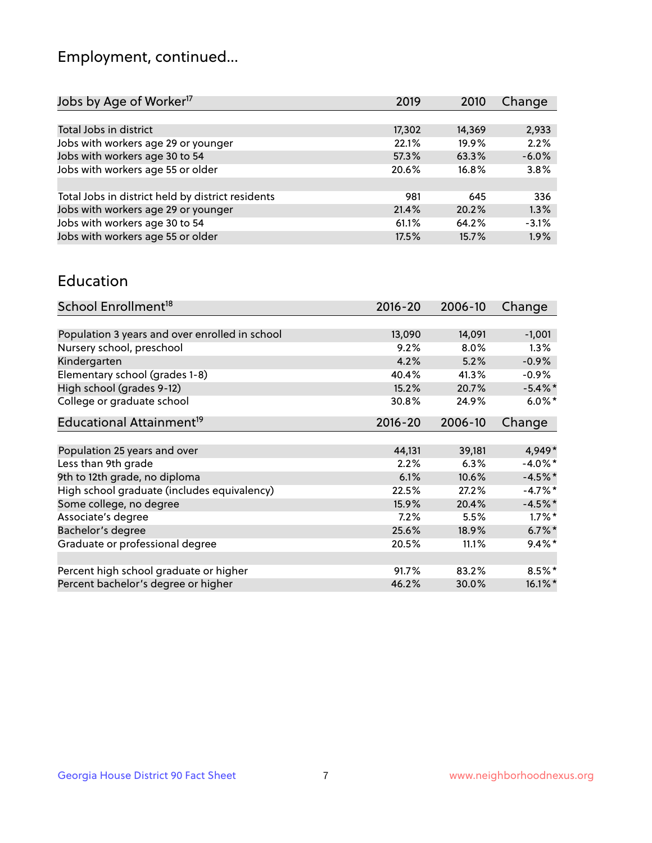## Employment, continued...

| 2019   | 2010   | Change  |
|--------|--------|---------|
|        |        |         |
| 17,302 | 14,369 | 2,933   |
| 22.1%  | 19.9%  | 2.2%    |
| 57.3%  | 63.3%  | $-6.0%$ |
| 20.6%  | 16.8%  | 3.8%    |
|        |        |         |
| 981    | 645    | 336     |
| 21.4%  | 20.2%  | 1.3%    |
| 61.1%  | 64.2%  | $-3.1%$ |
| 17.5%  | 15.7%  | 1.9%    |
|        |        |         |

#### Education

| School Enrollment <sup>18</sup>                | $2016 - 20$ | 2006-10 | Change     |
|------------------------------------------------|-------------|---------|------------|
|                                                |             |         |            |
| Population 3 years and over enrolled in school | 13,090      | 14,091  | $-1,001$   |
| Nursery school, preschool                      | 9.2%        | 8.0%    | 1.3%       |
| Kindergarten                                   | 4.2%        | 5.2%    | $-0.9%$    |
| Elementary school (grades 1-8)                 | 40.4%       | 41.3%   | $-0.9%$    |
| High school (grades 9-12)                      | 15.2%       | 20.7%   | $-5.4\%$ * |
| College or graduate school                     | 30.8%       | 24.9%   | $6.0\%$ *  |
| Educational Attainment <sup>19</sup>           | $2016 - 20$ | 2006-10 | Change     |
|                                                |             |         |            |
| Population 25 years and over                   | 44,131      | 39,181  | 4,949*     |
| Less than 9th grade                            | 2.2%        | 6.3%    | $-4.0\%$ * |
| 9th to 12th grade, no diploma                  | 6.1%        | 10.6%   | $-4.5%$ *  |
| High school graduate (includes equivalency)    | 22.5%       | 27.2%   | $-4.7%$ *  |
| Some college, no degree                        | 15.9%       | 20.4%   | $-4.5%$ *  |
| Associate's degree                             | 7.2%        | 5.5%    | $1.7\%$ *  |
| Bachelor's degree                              | 25.6%       | 18.9%   | $6.7\%$ *  |
| Graduate or professional degree                | 20.5%       | 11.1%   | $9.4\%$ *  |
|                                                |             |         |            |
| Percent high school graduate or higher         | 91.7%       | 83.2%   | $8.5%$ *   |
| Percent bachelor's degree or higher            | 46.2%       | 30.0%   | 16.1%*     |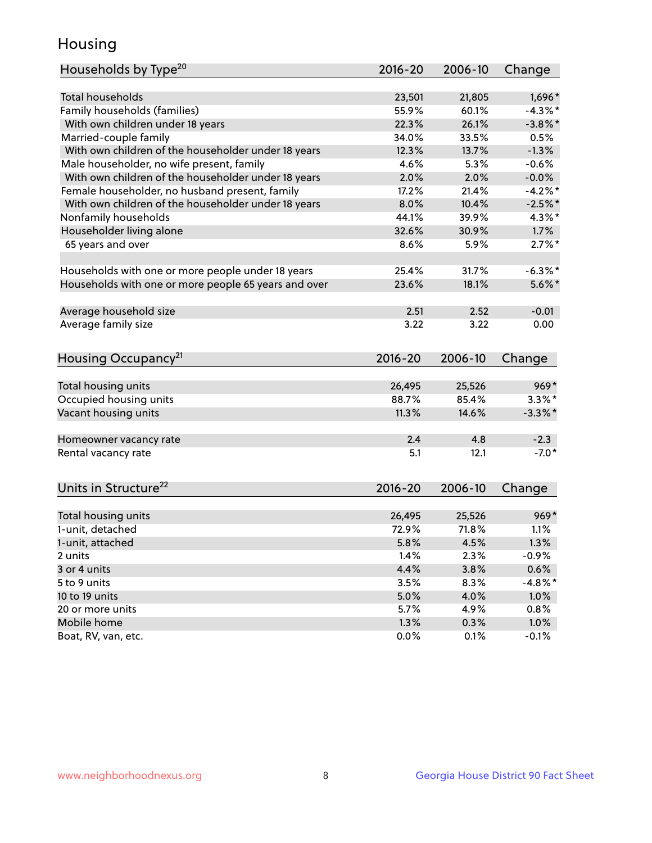## Housing

| Households by Type <sup>20</sup>                     | 2016-20 | 2006-10 | Change     |
|------------------------------------------------------|---------|---------|------------|
|                                                      |         |         |            |
| <b>Total households</b>                              | 23,501  | 21,805  | 1,696*     |
| Family households (families)                         | 55.9%   | 60.1%   | $-4.3\%$ * |
| With own children under 18 years                     | 22.3%   | 26.1%   | $-3.8\%$ * |
| Married-couple family                                | 34.0%   | 33.5%   | 0.5%       |
| With own children of the householder under 18 years  | 12.3%   | 13.7%   | $-1.3%$    |
| Male householder, no wife present, family            | 4.6%    | 5.3%    | $-0.6%$    |
| With own children of the householder under 18 years  | 2.0%    | 2.0%    | $-0.0%$    |
| Female householder, no husband present, family       | 17.2%   | 21.4%   | $-4.2%$    |
| With own children of the householder under 18 years  | 8.0%    | 10.4%   | $-2.5%$ *  |
| Nonfamily households                                 | 44.1%   | 39.9%   | $4.3\%$ *  |
| Householder living alone                             | 32.6%   | 30.9%   | 1.7%       |
| 65 years and over                                    | 8.6%    | 5.9%    | $2.7\%$ *  |
|                                                      |         |         |            |
| Households with one or more people under 18 years    | 25.4%   | 31.7%   | $-6.3\%$ * |
| Households with one or more people 65 years and over | 23.6%   | 18.1%   | $5.6\%$ *  |
|                                                      |         |         |            |
| Average household size                               | 2.51    | 2.52    | $-0.01$    |
| Average family size                                  | 3.22    | 3.22    | 0.00       |
|                                                      |         |         |            |
| Housing Occupancy <sup>21</sup>                      | 2016-20 | 2006-10 | Change     |
|                                                      |         |         |            |
| Total housing units                                  | 26,495  | 25,526  | $969*$     |
| Occupied housing units                               | 88.7%   | 85.4%   | $3.3\%$ *  |
| Vacant housing units                                 | 11.3%   | 14.6%   | $-3.3\%$ * |
|                                                      |         |         |            |
| Homeowner vacancy rate                               | 2.4     | 4.8     | $-2.3$     |
| Rental vacancy rate                                  | 5.1     | 12.1    | $-7.0*$    |
|                                                      |         |         |            |
| Units in Structure <sup>22</sup>                     | 2016-20 | 2006-10 |            |
|                                                      |         |         | Change     |
| Total housing units                                  | 26,495  | 25,526  | $969*$     |
| 1-unit, detached                                     | 72.9%   | 71.8%   | 1.1%       |
| 1-unit, attached                                     | 5.8%    | 4.5%    | 1.3%       |
| 2 units                                              | 1.4%    | 2.3%    | $-0.9%$    |
| 3 or 4 units                                         | 4.4%    | 3.8%    | 0.6%       |
| 5 to 9 units                                         | 3.5%    | 8.3%    | $-4.8\%$ * |
| 10 to 19 units                                       | 5.0%    | 4.0%    | 1.0%       |
| 20 or more units                                     | 5.7%    | 4.9%    | 0.8%       |
| Mobile home                                          | 1.3%    | 0.3%    | 1.0%       |
| Boat, RV, van, etc.                                  | 0.0%    | 0.1%    | $-0.1%$    |
|                                                      |         |         |            |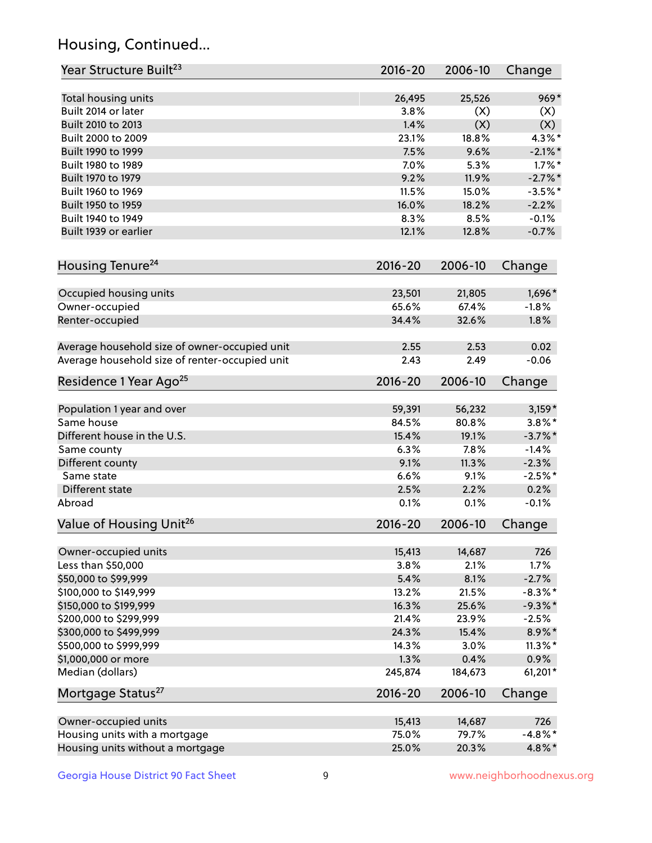## Housing, Continued...

| Year Structure Built <sup>23</sup>             | 2016-20     | 2006-10 | Change     |
|------------------------------------------------|-------------|---------|------------|
| Total housing units                            | 26,495      | 25,526  | $969*$     |
| Built 2014 or later                            | 3.8%        | (X)     | (X)        |
| Built 2010 to 2013                             | 1.4%        | (X)     | (X)        |
| Built 2000 to 2009                             | 23.1%       | 18.8%   | $4.3\%$ *  |
| Built 1990 to 1999                             | 7.5%        | 9.6%    | $-2.1\%$ * |
| Built 1980 to 1989                             | 7.0%        | 5.3%    | $1.7\%$ *  |
| Built 1970 to 1979                             | 9.2%        | 11.9%   | $-2.7%$    |
| Built 1960 to 1969                             | 11.5%       | 15.0%   | $-3.5%$ *  |
| Built 1950 to 1959                             | 16.0%       | 18.2%   | $-2.2%$    |
| Built 1940 to 1949                             | 8.3%        | 8.5%    | $-0.1%$    |
| Built 1939 or earlier                          | 12.1%       | 12.8%   | $-0.7%$    |
| Housing Tenure <sup>24</sup>                   | $2016 - 20$ | 2006-10 | Change     |
|                                                |             |         |            |
| Occupied housing units                         | 23,501      | 21,805  | 1,696*     |
| Owner-occupied                                 | 65.6%       | 67.4%   | $-1.8%$    |
| Renter-occupied                                | 34.4%       | 32.6%   | 1.8%       |
| Average household size of owner-occupied unit  | 2.55        | 2.53    | 0.02       |
| Average household size of renter-occupied unit | 2.43        | 2.49    | $-0.06$    |
| Residence 1 Year Ago <sup>25</sup>             | $2016 - 20$ | 2006-10 | Change     |
| Population 1 year and over                     | 59,391      | 56,232  | $3,159*$   |
| Same house                                     | 84.5%       | 80.8%   | $3.8\%$ *  |
| Different house in the U.S.                    | 15.4%       | 19.1%   | $-3.7\%$ * |
| Same county                                    | 6.3%        | 7.8%    | $-1.4%$    |
| Different county                               | 9.1%        | 11.3%   | $-2.3%$    |
| Same state                                     | 6.6%        | 9.1%    | $-2.5%$ *  |
| Different state                                | 2.5%        | 2.2%    | 0.2%       |
| Abroad                                         | 0.1%        | 0.1%    | $-0.1%$    |
| Value of Housing Unit <sup>26</sup>            | $2016 - 20$ | 2006-10 | Change     |
|                                                |             |         |            |
| Owner-occupied units                           | 15,413      | 14,687  | 726        |
| Less than \$50,000                             | 3.8%        | 2.1%    | 1.7%       |
| \$50,000 to \$99,999                           | 5.4%        | 8.1%    | $-2.7%$    |
| \$100,000 to \$149,999                         | 13.2%       | 21.5%   | $-8.3\%$ * |
| \$150,000 to \$199,999                         | 16.3%       | 25.6%   | $-9.3\%$ * |
| \$200,000 to \$299,999                         | 21.4%       | 23.9%   | $-2.5%$    |
| \$300,000 to \$499,999                         | 24.3%       | 15.4%   | 8.9%*      |
| \$500,000 to \$999,999                         | 14.3%       | 3.0%    | $11.3\%$ * |
| \$1,000,000 or more                            | 1.3%        | 0.4%    | 0.9%       |
| Median (dollars)                               | 245,874     | 184,673 | 61,201*    |
| Mortgage Status <sup>27</sup>                  | $2016 - 20$ | 2006-10 | Change     |
| Owner-occupied units                           | 15,413      | 14,687  | 726        |
| Housing units with a mortgage                  | 75.0%       | 79.7%   | $-4.8\%$ * |
| Housing units without a mortgage               | 25.0%       | 20.3%   | 4.8%*      |
|                                                |             |         |            |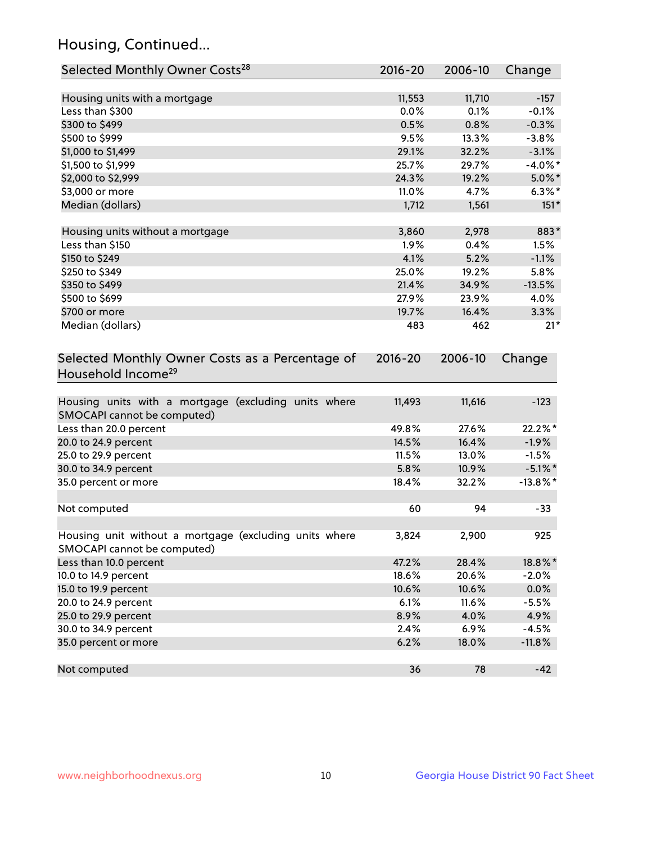## Housing, Continued...

| Selected Monthly Owner Costs <sup>28</sup>                                            | 2016-20 | 2006-10 | Change      |
|---------------------------------------------------------------------------------------|---------|---------|-------------|
| Housing units with a mortgage                                                         | 11,553  | 11,710  | $-157$      |
| Less than \$300                                                                       | 0.0%    | 0.1%    | $-0.1%$     |
| \$300 to \$499                                                                        | 0.5%    | 0.8%    | $-0.3%$     |
| \$500 to \$999                                                                        | 9.5%    | 13.3%   | $-3.8%$     |
| \$1,000 to \$1,499                                                                    | 29.1%   | 32.2%   | $-3.1%$     |
| \$1,500 to \$1,999                                                                    | 25.7%   | 29.7%   | $-4.0\%$ *  |
| \$2,000 to \$2,999                                                                    | 24.3%   | 19.2%   | $5.0\%$ *   |
| \$3,000 or more                                                                       | 11.0%   | 4.7%    | $6.3\%$ *   |
| Median (dollars)                                                                      | 1,712   | 1,561   | $151*$      |
| Housing units without a mortgage                                                      | 3,860   | 2,978   | 883*        |
| Less than \$150                                                                       | 1.9%    | 0.4%    | 1.5%        |
| \$150 to \$249                                                                        | 4.1%    | 5.2%    | $-1.1%$     |
| \$250 to \$349                                                                        | 25.0%   | 19.2%   | 5.8%        |
| \$350 to \$499                                                                        | 21.4%   | 34.9%   | $-13.5%$    |
| \$500 to \$699                                                                        | 27.9%   | 23.9%   | 4.0%        |
| \$700 or more                                                                         | 19.7%   | 16.4%   | 3.3%        |
| Median (dollars)                                                                      | 483     | 462     | $21*$       |
| Household Income <sup>29</sup>                                                        |         |         |             |
| Housing units with a mortgage (excluding units where<br>SMOCAPI cannot be computed)   | 11,493  | 11,616  | $-123$      |
| Less than 20.0 percent                                                                | 49.8%   | 27.6%   | 22.2%*      |
| 20.0 to 24.9 percent                                                                  | 14.5%   | 16.4%   | $-1.9%$     |
| 25.0 to 29.9 percent                                                                  | 11.5%   | 13.0%   | $-1.5%$     |
| 30.0 to 34.9 percent                                                                  | 5.8%    | 10.9%   | $-5.1\%$ *  |
| 35.0 percent or more                                                                  | 18.4%   | 32.2%   | $-13.8\%$ * |
| Not computed                                                                          | 60      | 94      | $-33$       |
|                                                                                       |         |         |             |
| Housing unit without a mortgage (excluding units where<br>SMOCAPI cannot be computed) | 3,824   | 2,900   | 925         |
| Less than 10.0 percent                                                                | 47.2%   | 28.4%   | 18.8%*      |
| 10.0 to 14.9 percent                                                                  | 18.6%   | 20.6%   | $-2.0%$     |
| 15.0 to 19.9 percent                                                                  | 10.6%   | 10.6%   | 0.0%        |
| 20.0 to 24.9 percent                                                                  | 6.1%    | 11.6%   | $-5.5%$     |
| 25.0 to 29.9 percent                                                                  | 8.9%    | 4.0%    | 4.9%        |
| 30.0 to 34.9 percent                                                                  | 2.4%    | 6.9%    | $-4.5%$     |
| 35.0 percent or more                                                                  | 6.2%    | 18.0%   | $-11.8%$    |
| Not computed                                                                          | 36      | 78      | $-42$       |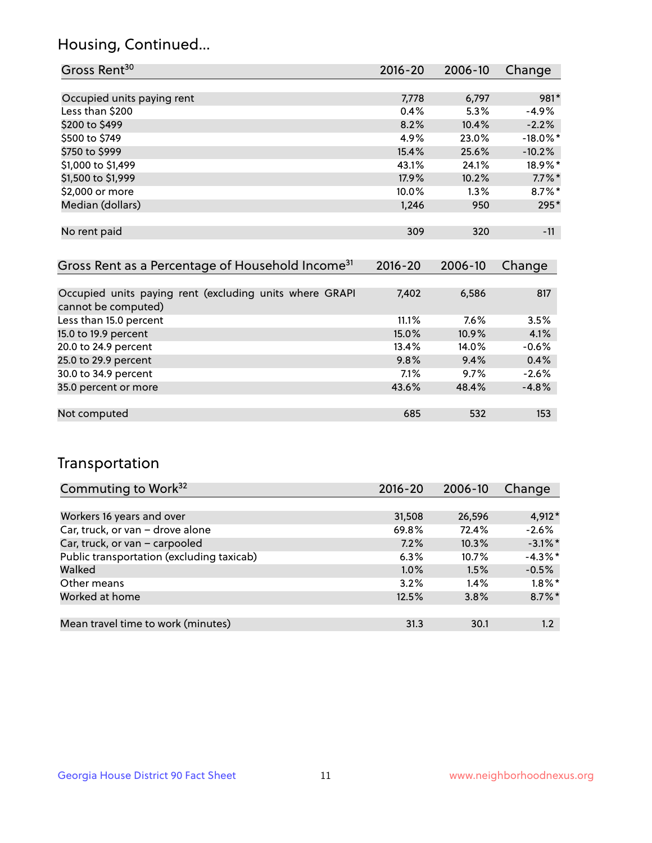## Housing, Continued...

| Gross Rent <sup>30</sup>   | 2016-20 | 2006-10 | Change      |
|----------------------------|---------|---------|-------------|
|                            |         |         |             |
| Occupied units paying rent | 7,778   | 6,797   | 981*        |
| Less than \$200            | 0.4%    | 5.3%    | $-4.9%$     |
| \$200 to \$499             | 8.2%    | 10.4%   | $-2.2%$     |
| \$500 to \$749             | 4.9%    | 23.0%   | $-18.0\%$ * |
| \$750 to \$999             | 15.4%   | 25.6%   | $-10.2%$    |
| \$1,000 to \$1,499         | 43.1%   | 24.1%   | 18.9%*      |
| \$1,500 to \$1,999         | 17.9%   | 10.2%   | $7.7\%$ *   |
| \$2,000 or more            | 10.0%   | 1.3%    | $8.7\%$ *   |
| Median (dollars)           | 1,246   | 950     | 295*        |
|                            |         |         |             |
| No rent paid               | 309     | 320     | $-11$       |

| Gross Rent as a Percentage of Household Income <sup>31</sup>                   | $2016 - 20$ | 2006-10 | Change  |
|--------------------------------------------------------------------------------|-------------|---------|---------|
|                                                                                |             |         |         |
| Occupied units paying rent (excluding units where GRAPI<br>cannot be computed) | 7,402       | 6,586   | 817     |
| Less than 15.0 percent                                                         | 11.1%       | $7.6\%$ | 3.5%    |
| 15.0 to 19.9 percent                                                           | 15.0%       | 10.9%   | 4.1%    |
| 20.0 to 24.9 percent                                                           | 13.4%       | 14.0%   | $-0.6%$ |
| 25.0 to 29.9 percent                                                           | 9.8%        | 9.4%    | 0.4%    |
| 30.0 to 34.9 percent                                                           | 7.1%        | 9.7%    | $-2.6%$ |
| 35.0 percent or more                                                           | 43.6%       | 48.4%   | $-4.8%$ |
|                                                                                |             |         |         |
| Not computed                                                                   | 685         | 532     | 153     |

## Transportation

| Commuting to Work <sup>32</sup>           | $2016 - 20$ | 2006-10 | Change     |
|-------------------------------------------|-------------|---------|------------|
|                                           |             |         |            |
| Workers 16 years and over                 | 31,508      | 26,596  | 4,912*     |
| Car, truck, or van - drove alone          | 69.8%       | 72.4%   | $-2.6%$    |
| Car, truck, or van - carpooled            | 7.2%        | 10.3%   | $-3.1\%$ * |
| Public transportation (excluding taxicab) | 6.3%        | 10.7%   | $-4.3\%$ * |
| Walked                                    | $1.0\%$     | 1.5%    | $-0.5%$    |
| Other means                               | 3.2%        | $1.4\%$ | $1.8\%$ *  |
| Worked at home                            | 12.5%       | 3.8%    | $8.7\%$ *  |
|                                           |             |         |            |
| Mean travel time to work (minutes)        | 31.3        | 30.1    | 1.2        |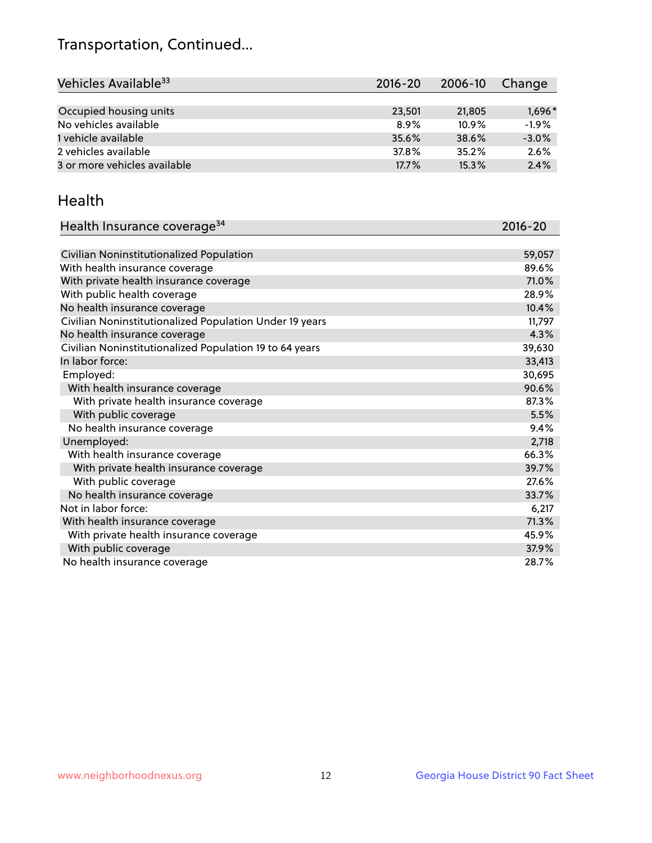## Transportation, Continued...

| Vehicles Available <sup>33</sup> | 2016-20 | 2006-10 | Change   |
|----------------------------------|---------|---------|----------|
|                                  |         |         |          |
| Occupied housing units           | 23,501  | 21,805  | $1,696*$ |
| No vehicles available            | 8.9%    | 10.9%   | $-1.9%$  |
| 1 vehicle available              | 35.6%   | 38.6%   | $-3.0%$  |
| 2 vehicles available             | 37.8%   | 35.2%   | 2.6%     |
| 3 or more vehicles available     | 17.7%   | 15.3%   | 2.4%     |

#### Health

| Health Insurance coverage <sup>34</sup>                 | 2016-20 |
|---------------------------------------------------------|---------|
|                                                         |         |
| Civilian Noninstitutionalized Population                | 59,057  |
| With health insurance coverage                          | 89.6%   |
| With private health insurance coverage                  | 71.0%   |
| With public health coverage                             | 28.9%   |
| No health insurance coverage                            | 10.4%   |
| Civilian Noninstitutionalized Population Under 19 years | 11,797  |
| No health insurance coverage                            | 4.3%    |
| Civilian Noninstitutionalized Population 19 to 64 years | 39,630  |
| In labor force:                                         | 33,413  |
| Employed:                                               | 30,695  |
| With health insurance coverage                          | 90.6%   |
| With private health insurance coverage                  | 87.3%   |
| With public coverage                                    | 5.5%    |
| No health insurance coverage                            | 9.4%    |
| Unemployed:                                             | 2,718   |
| With health insurance coverage                          | 66.3%   |
| With private health insurance coverage                  | 39.7%   |
| With public coverage                                    | 27.6%   |
| No health insurance coverage                            | 33.7%   |
| Not in labor force:                                     | 6,217   |
| With health insurance coverage                          | 71.3%   |
| With private health insurance coverage                  | 45.9%   |
| With public coverage                                    | 37.9%   |
| No health insurance coverage                            | 28.7%   |